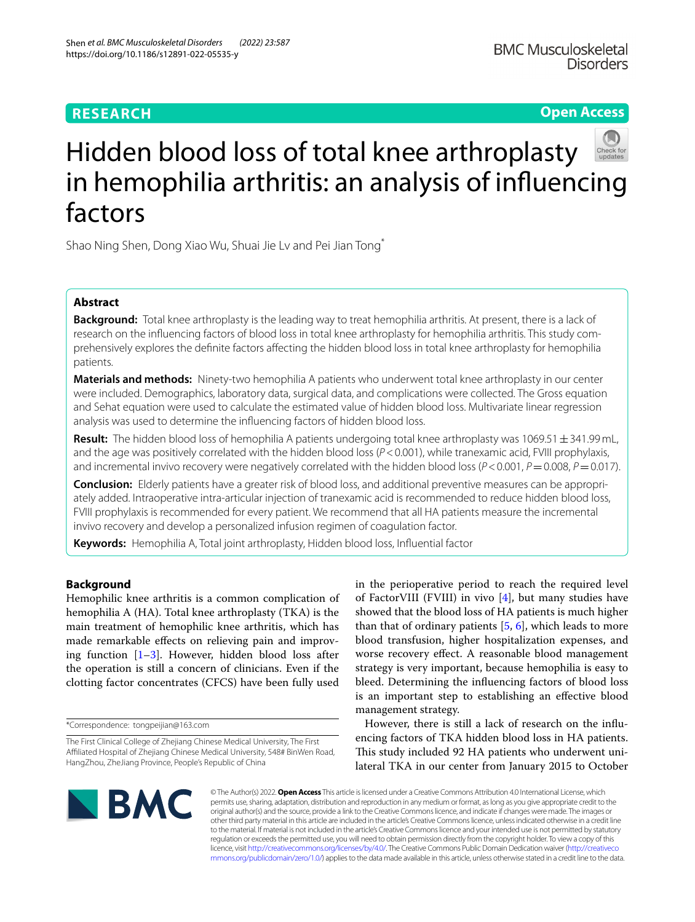# **RESEARCH**

# **Open Access**



# Hidden blood loss of total knee arthroplasty in hemophilia arthritis: an analysis of infuencing factors

Shao Ning Shen, Dong Xiao Wu, Shuai Jie Lv and Pei Jian Tong\*

# **Abstract**

**Background:** Total knee arthroplasty is the leading way to treat hemophilia arthritis. At present, there is a lack of research on the infuencing factors of blood loss in total knee arthroplasty for hemophilia arthritis. This study comprehensively explores the defnite factors afecting the hidden blood loss in total knee arthroplasty for hemophilia patients.

**Materials and methods:** Ninety-two hemophilia A patients who underwent total knee arthroplasty in our center were included. Demographics, laboratory data, surgical data, and complications were collected. The Gross equation and Sehat equation were used to calculate the estimated value of hidden blood loss. Multivariate linear regression analysis was used to determine the infuencing factors of hidden blood loss.

**Result:** The hidden blood loss of hemophilia A patients undergoing total knee arthroplasty was 1069.51  $\pm$ 341.99 mL, and the age was positively correlated with the hidden blood loss ( $P < 0.001$ ), while tranexamic acid, FVIII prophylaxis, and incremental invivo recovery were negatively correlated with the hidden blood loss (*P* < 0.001, *P* = 0.008, *P* = 0.017).

**Conclusion:** Elderly patients have a greater risk of blood loss, and additional preventive measures can be appropriately added. Intraoperative intra-articular injection of tranexamic acid is recommended to reduce hidden blood loss, FVIII prophylaxis is recommended for every patient. We recommend that all HA patients measure the incremental invivo recovery and develop a personalized infusion regimen of coagulation factor.

**Keywords:** Hemophilia A, Total joint arthroplasty, Hidden blood loss, Infuential factor

# **Background**

Hemophilic knee arthritis is a common complication of hemophilia A (HA). Total knee arthroplasty (TKA) is the main treatment of hemophilic knee arthritis, which has made remarkable efects on relieving pain and improving function  $[1-3]$  $[1-3]$ . However, hidden blood loss after the operation is still a concern of clinicians. Even if the clotting factor concentrates (CFCS) have been fully used in the perioperative period to reach the required level of FactorVIII (FVIII) in vivo [[4](#page-6-2)], but many studies have showed that the blood loss of HA patients is much higher than that of ordinary patients  $[5, 6]$  $[5, 6]$  $[5, 6]$ , which leads to more blood transfusion, higher hospitalization expenses, and worse recovery efect. A reasonable blood management strategy is very important, because hemophilia is easy to bleed. Determining the infuencing factors of blood loss is an important step to establishing an efective blood management strategy.

However, there is still a lack of research on the infuencing factors of TKA hidden blood loss in HA patients. This study included 92 HA patients who underwent unilateral TKA in our center from January 2015 to October



© The Author(s) 2022. **Open Access** This article is licensed under a Creative Commons Attribution 4.0 International License, which permits use, sharing, adaptation, distribution and reproduction in any medium or format, as long as you give appropriate credit to the original author(s) and the source, provide a link to the Creative Commons licence, and indicate if changes were made. The images or other third party material in this article are included in the article's Creative Commons licence, unless indicated otherwise in a credit line to the material. If material is not included in the article's Creative Commons licence and your intended use is not permitted by statutory regulation or exceeds the permitted use, you will need to obtain permission directly from the copyright holder. To view a copy of this licence, visit [http://creativecommons.org/licenses/by/4.0/.](http://creativecommons.org/licenses/by/4.0/) The Creative Commons Public Domain Dedication waiver ([http://creativeco](http://creativecommons.org/publicdomain/zero/1.0/) [mmons.org/publicdomain/zero/1.0/](http://creativecommons.org/publicdomain/zero/1.0/)) applies to the data made available in this article, unless otherwise stated in a credit line to the data.

<sup>\*</sup>Correspondence: tongpeijian@163.com

The First Clinical College of Zhejiang Chinese Medical University, The First Afliated Hospital of Zhejiang Chinese Medical University, 548# BinWen Road, HangZhou, ZheJiang Province, People's Republic of China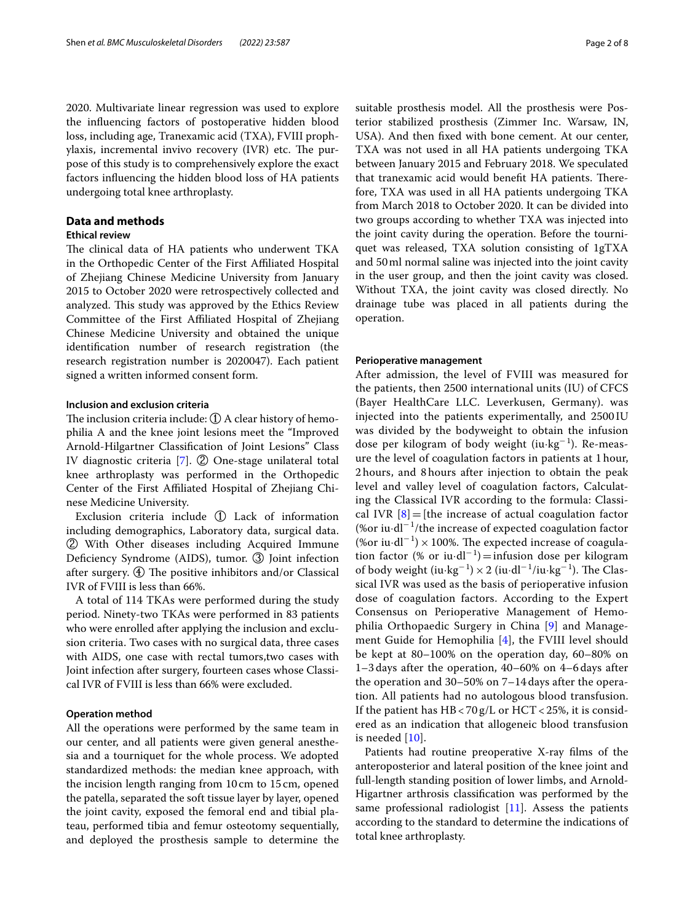2020. Multivariate linear regression was used to explore the infuencing factors of postoperative hidden blood loss, including age, Tranexamic acid (TXA), FVIII prophylaxis, incremental invivo recovery  $(IVR)$  etc. The purpose of this study is to comprehensively explore the exact factors infuencing the hidden blood loss of HA patients undergoing total knee arthroplasty.

# **Data and methods**

# **Ethical review**

The clinical data of HA patients who underwent TKA in the Orthopedic Center of the First Afliated Hospital of Zhejiang Chinese Medicine University from January 2015 to October 2020 were retrospectively collected and analyzed. This study was approved by the Ethics Review Committee of the First Afliated Hospital of Zhejiang Chinese Medicine University and obtained the unique identifcation number of research registration (the research registration number is 2020047). Each patient signed a written informed consent form.

# **Inclusion and exclusion criteria**

The inclusion criteria include:  $\mathbb D$  A clear history of hemophilia A and the knee joint lesions meet the "Improved Arnold-Hilgartner Classifcation of Joint Lesions" Class IV diagnostic criteria [\[7\]](#page-6-5). ② One-stage unilateral total knee arthroplasty was performed in the Orthopedic Center of the First Afliated Hospital of Zhejiang Chinese Medicine University.

Exclusion criteria include ① Lack of information including demographics, Laboratory data, surgical data. ② With Other diseases including Acquired Immune Deficiency Syndrome (AIDS), tumor. 3 Joint infection after surgery.  $\textcircled{4}$  The positive inhibitors and/or Classical IVR of FVIII is less than 66%.

A total of 114 TKAs were performed during the study period. Ninety-two TKAs were performed in 83 patients who were enrolled after applying the inclusion and exclusion criteria. Two cases with no surgical data, three cases with AIDS, one case with rectal tumors,two cases with Joint infection after surgery, fourteen cases whose Classical IVR of FVIII is less than 66% were excluded.

# **Operation method**

All the operations were performed by the same team in our center, and all patients were given general anesthesia and a tourniquet for the whole process. We adopted standardized methods: the median knee approach, with the incision length ranging from 10cm to 15cm, opened the patella, separated the soft tissue layer by layer, opened the joint cavity, exposed the femoral end and tibial plateau, performed tibia and femur osteotomy sequentially, and deployed the prosthesis sample to determine the suitable prosthesis model. All the prosthesis were Posterior stabilized prosthesis (Zimmer Inc. Warsaw, IN, USA). And then fxed with bone cement. At our center, TXA was not used in all HA patients undergoing TKA between January 2015 and February 2018. We speculated that tranexamic acid would benefit HA patients. Therefore, TXA was used in all HA patients undergoing TKA from March 2018 to October 2020. It can be divided into two groups according to whether TXA was injected into the joint cavity during the operation. Before the tourniquet was released, TXA solution consisting of 1gTXA and 50ml normal saline was injected into the joint cavity in the user group, and then the joint cavity was closed. Without TXA, the joint cavity was closed directly. No drainage tube was placed in all patients during the operation.

# **Perioperative management**

After admission, the level of FVIII was measured for the patients, then 2500 international units (IU) of CFCS (Bayer HealthCare LLC. Leverkusen, Germany). was injected into the patients experimentally, and 2500 IU was divided by the bodyweight to obtain the infusion dose per kilogram of body weight (iu $\text{kg}^{-1}$ ). Re-measure the level of coagulation factors in patients at 1 hour, 2 hours, and 8 hours after injection to obtain the peak level and valley level of coagulation factors, Calculating the Classical IVR according to the formula: Classical IVR  $[8]$  $[8]$  = [the increase of actual coagulation factor (%or iu·dl−<sup>1</sup> /the increase of expected coagulation factor (%or iu·dl<sup>-1</sup>) × 100%. The expected increase of coagulation factor (% or iu·dl<sup>-1</sup>) = infusion dose per kilogram of body weight  $(iu \cdot kg^{-1}) \times 2$   $(iu \cdot dl^{-1}/iu \cdot kg^{-1})$ . The Classical IVR was used as the basis of perioperative infusion dose of coagulation factors. According to the Expert Consensus on Perioperative Management of Hemophilia Orthopaedic Surgery in China [\[9](#page-6-7)] and Management Guide for Hemophilia [[4\]](#page-6-2), the FVIII level should be kept at 80–100% on the operation day, 60–80% on 1–3 days after the operation, 40–60% on 4–6 days after the operation and 30–50% on 7–14 days after the operation. All patients had no autologous blood transfusion. If the patient has  $HB < 70 g/L$  or  $HCT < 25\%$ , it is considered as an indication that allogeneic blood transfusion is needed [[10\]](#page-6-8).

Patients had routine preoperative X-ray flms of the anteroposterior and lateral position of the knee joint and full-length standing position of lower limbs, and Arnold-Higartner arthrosis classifcation was performed by the same professional radiologist [\[11](#page-6-9)]. Assess the patients according to the standard to determine the indications of total knee arthroplasty.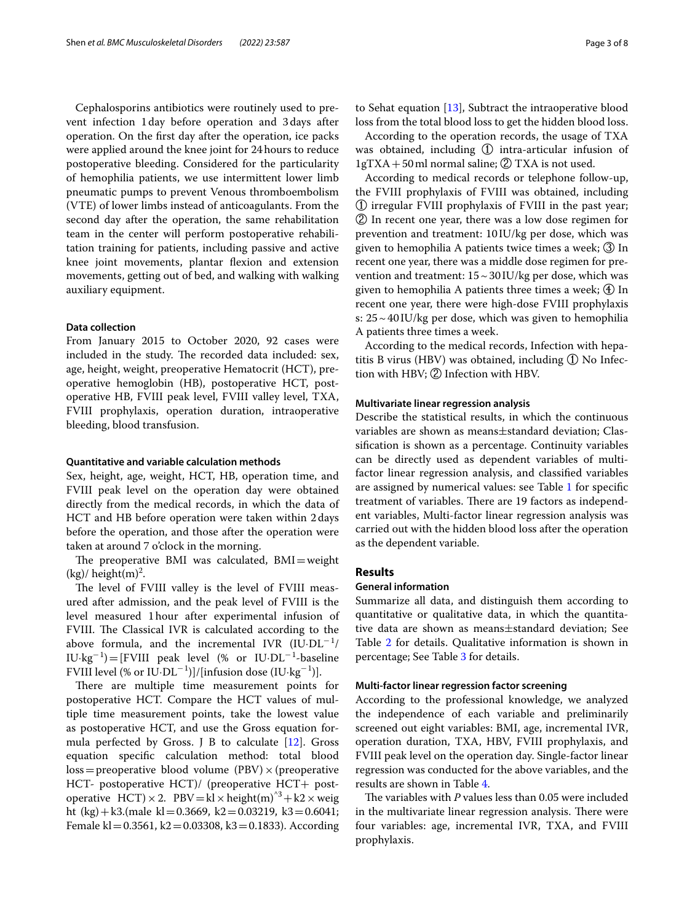Cephalosporins antibiotics were routinely used to prevent infection 1day before operation and 3days after operation. On the frst day after the operation, ice packs were applied around the knee joint for 24hours to reduce postoperative bleeding. Considered for the particularity of hemophilia patients, we use intermittent lower limb pneumatic pumps to prevent Venous thromboembolism (VTE) of lower limbs instead of anticoagulants. From the second day after the operation, the same rehabilitation team in the center will perform postoperative rehabilitation training for patients, including passive and active knee joint movements, plantar fexion and extension movements, getting out of bed, and walking with walking auxiliary equipment.

# **Data collection**

From January 2015 to October 2020, 92 cases were included in the study. The recorded data included: sex, age, height, weight, preoperative Hematocrit (HCT), preoperative hemoglobin (HB), postoperative HCT, postoperative HB, FVIII peak level, FVIII valley level, TXA, FVIII prophylaxis, operation duration, intraoperative bleeding, blood transfusion.

# **Quantitative and variable calculation methods**

Sex, height, age, weight, HCT, HB, operation time, and FVIII peak level on the operation day were obtained directly from the medical records, in which the data of HCT and HB before operation were taken within 2days before the operation, and those after the operation were taken at around 7 o'clock in the morning.

The preoperative BMI was calculated,  $BMI = weight$  $(kg)/\,$ height $(m)^2$ .

The level of FVIII valley is the level of FVIII measured after admission, and the peak level of FVIII is the level measured 1hour after experimental infusion of FVIII. The Classical IVR is calculated according to the above formula, and the incremental IVR  $(\text{I} \cup \text{DL}^{-1})$ IU·kg<sup>−</sup><sup>1</sup> )=[FVIII peak level (% or IU·DL<sup>−</sup><sup>1</sup> -baseline FVIII level (% or IU·DL<sup>-1</sup>)]/[infusion dose (IU·kg<sup>-1</sup>)].

There are multiple time measurement points for postoperative HCT. Compare the HCT values of multiple time measurement points, take the lowest value as postoperative HCT, and use the Gross equation formula perfected by Gross. J B to calculate [[12\]](#page-6-10). Gross equation specifc calculation method: total blood  $loss = preoperative blood volume (PBV) \times (preoperative$ HCT- postoperative HCT)/ (preoperative HCT+ postoperative HCT)  $\times$  2. PBV = kl  $\times$  height(m)<sup> $\text{A}$ </sup> + k2  $\times$  weig ht (kg) + k3.(male kl = 0.3669, k2 = 0.03219, k3 = 0.6041; Female kl =  $0.3561$ , k2 =  $0.03308$ , k3 =  $0.1833$ ). According

to Sehat equation [\[13](#page-6-11)], Subtract the intraoperative blood loss from the total blood loss to get the hidden blood loss.

According to the operation records, the usage of TXA was obtained, including ① intra-articular infusion of 1gTXA + 50 ml normal saline; 2 TXA is not used.

According to medical records or telephone follow-up, the FVIII prophylaxis of FVIII was obtained, including ① irregular FVIII prophylaxis of FVIII in the past year; ② In recent one year, there was a low dose regimen for prevention and treatment: 10 IU/kg per dose, which was given to hemophilia A patients twice times a week; ③ In recent one year, there was a middle dose regimen for prevention and treatment:  $15 \sim 30$  IU/kg per dose, which was given to hemophilia A patients three times a week; ④ In recent one year, there were high-dose FVIII prophylaxis s: 25~40IU/kg per dose, which was given to hemophilia A patients three times a week.

According to the medical records, Infection with hepatitis B virus (HBV) was obtained, including ① No Infection with HBV; ② Infection with HBV.

# **Multivariate linear regression analysis**

Describe the statistical results, in which the continuous variables are shown as means±standard deviation; Classifcation is shown as a percentage. Continuity variables can be directly used as dependent variables of multifactor linear regression analysis, and classifed variables are assigned by numerical values: see Table [1](#page-3-0) for specifc treatment of variables. There are 19 factors as independent variables, Multi-factor linear regression analysis was carried out with the hidden blood loss after the operation as the dependent variable.

# **Results**

### **General information**

Summarize all data, and distinguish them according to quantitative or qualitative data, in which the quantitative data are shown as means±standard deviation; See Table [2](#page-3-1) for details. Qualitative information is shown in percentage; See Table [3](#page-3-2) for details.

# **Multi‑factor linear regression factor screening**

According to the professional knowledge, we analyzed the independence of each variable and preliminarily screened out eight variables: BMI, age, incremental IVR, operation duration, TXA, HBV, FVIII prophylaxis, and FVIII peak level on the operation day. Single-factor linear regression was conducted for the above variables, and the results are shown in Table [4.](#page-4-0)

The variables with *P* values less than 0.05 were included in the multivariate linear regression analysis. There were four variables: age, incremental IVR, TXA, and FVIII prophylaxis.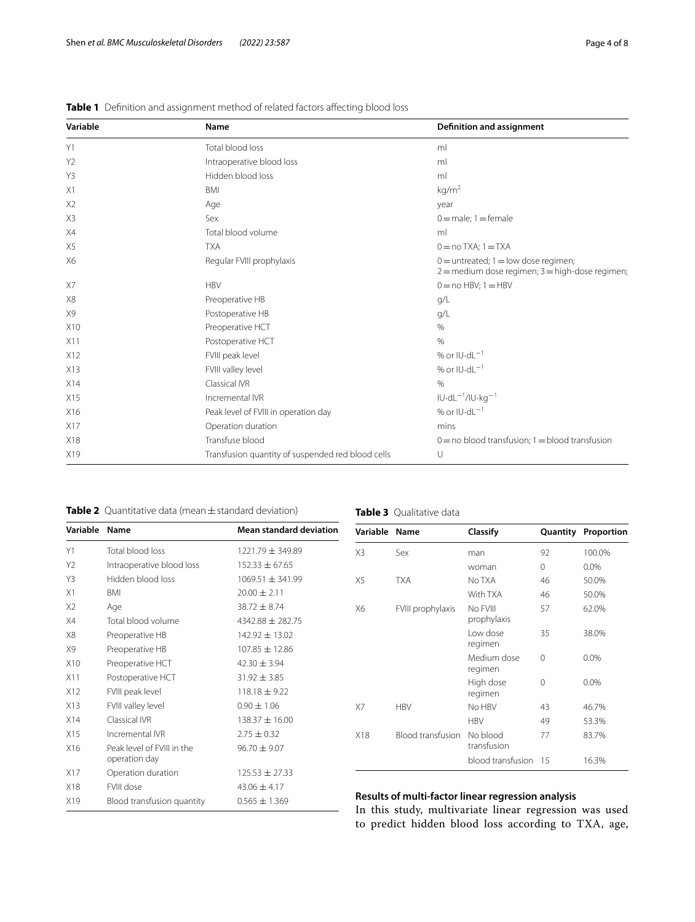| Page 4 of 8 |  |  |
|-------------|--|--|
|             |  |  |

| Variable       | Name                                              | Definition and assignment                                                                       |
|----------------|---------------------------------------------------|-------------------------------------------------------------------------------------------------|
| Y1             | Total blood loss                                  | ml                                                                                              |
| Y2             | Intraoperative blood loss                         | ml                                                                                              |
| Y3             | Hidden blood loss                                 | ml                                                                                              |
| X1             | <b>BMI</b>                                        | kg/m <sup>2</sup>                                                                               |
| X <sub>2</sub> | Age                                               | year                                                                                            |
| X3             | Sex                                               | $0 =$ male; $1 =$ female                                                                        |
| X4             | Total blood volume                                | ml                                                                                              |
| X <sub>5</sub> | <b>TXA</b>                                        | $0 = no$ TXA; $1 = TXA$                                                                         |
| X6             | Regular FVIII prophylaxis                         | $0 =$ untreated; $1 =$ low dose regimen;<br>$2 =$ medium dose regimen; $3 =$ high-dose regimen; |
| X7             | <b>HBV</b>                                        | $0 = no$ HBV; $1 = HBV$                                                                         |
| X8             | Preoperative HB                                   | q/L                                                                                             |
| X9             | Postoperative HB                                  | q/L                                                                                             |
| X10            | Preoperative HCT                                  | $\%$                                                                                            |
| X11            | Postoperative HCT                                 | $\frac{0}{0}$                                                                                   |
| X12            | FVIII peak level                                  | % or $IU$ -d $L^{-1}$                                                                           |
| X13            | FVIII valley level                                | % or $IU$ -d $L^{-1}$                                                                           |
| X14            | Classical IVR                                     | $\frac{0}{0}$                                                                                   |
| X15            | Incremental IVR                                   | $IU\cdot dL^{-1}/IU\cdot kq^{-1}$                                                               |
| X16            | Peak level of FVIII in operation day              | % or $IU$ -d $L^{-1}$                                                                           |
| X17            | Operation duration                                | mins                                                                                            |
| X18            | Transfuse blood                                   | $0 =$ no blood transfusion; $1 =$ blood transfusion                                             |
| X19            | Transfusion quantity of suspended red blood cells | U                                                                                               |

<span id="page-3-0"></span>**Table 1** Definition and assignment method of related factors affecting blood loss

<span id="page-3-1"></span>**Table 2** Quantitative data (mean±standard deviation)

<span id="page-3-2"></span>**Table 3** Qualitative data

| Variable       | Name                                        | <b>Mean standard deviation</b> |
|----------------|---------------------------------------------|--------------------------------|
| Y1             | Total blood loss                            | 1221.79 ± 349.89               |
| Y <sub>2</sub> | Intraoperative blood loss                   | $152.33 \pm 67.65$             |
| Y3             | Hidden blood loss                           | $1069.51 \pm 341.99$           |
| X1             | <b>BMI</b>                                  | $20.00 \pm 2.11$               |
| X <sub>2</sub> | Age                                         | $38.72 + 8.74$                 |
| X4             | Total blood volume                          | $4342.88 + 282.75$             |
| X8             | Preoperative HB                             | $142.92 \pm 13.02$             |
| X9             | Preoperative HB                             | $107.85 \pm 12.86$             |
| X10            | Preoperative HCT                            | $42.30 \pm 3.94$               |
| X11            | Postoperative HCT                           | $31.92 + 3.85$                 |
| X12            | FVIII peak level                            | $118.18 + 9.22$                |
| X13            | FVIII valley level                          | $0.90 \pm 1.06$                |
| X14            | Classical IVR                               | $138.37 + 16.00$               |
| X15            | Incremental IVR                             | $2.75 + 0.32$                  |
| X16            | Peak level of FVIII in the<br>operation day | $96.70 \pm 9.07$               |
| X17            | Operation duration                          | $125.53 \pm 27.33$             |
| X18            | FVIII dose                                  | $43.06 \pm 4.17$               |
| X19            | Blood transfusion quantity                  | $0.565 \pm 1.369$              |

| Variable | Name                   | Classify                | Quantity | Proportion |
|----------|------------------------|-------------------------|----------|------------|
| X3       | Sex                    | man                     | 92       | 100.0%     |
|          |                        | woman                   | 0        | 0.0%       |
| X5       | <b>TXA</b>             | No TXA                  | 46       | 50.0%      |
|          |                        | With TXA                | 46       | 50.0%      |
| X6       | FVIII prophylaxis      | No FVIII<br>prophylaxis | 57       | 62.0%      |
|          |                        | Low dose<br>regimen     | 35       | 38.0%      |
|          | Medium dose<br>regimen | $\Omega$                | 0.0%     |            |
|          |                        | High dose<br>regimen    | 0        | 0.0%       |
| X7       | <b>HBV</b>             | No HBV                  | 43       | 46.7%      |
|          |                        | <b>HBV</b>              | 49       | 53.3%      |
| X18      | Blood transfusion      | No blood<br>transfusion | 77       | 83.7%      |
|          |                        | blood transfusion       | 15       | 16.3%      |

# **Results of multi‑factor linear regression analysis**

In this study, multivariate linear regression was used to predict hidden blood loss according to TXA, age,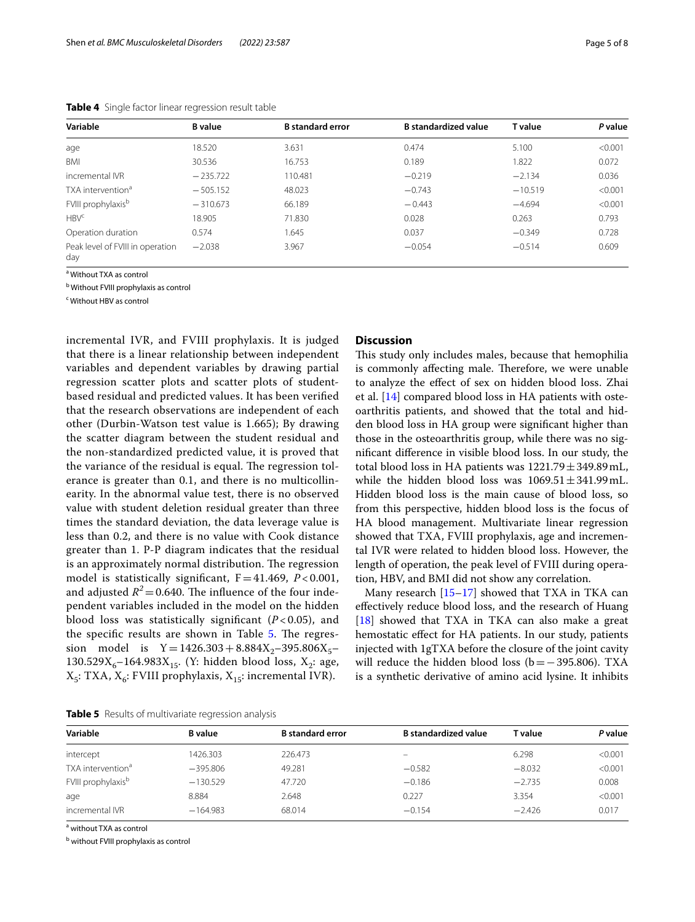| Variable                                | <b>B</b> value | <b>B</b> standard error | <b>B</b> standardized value | <b>T</b> value | P value |
|-----------------------------------------|----------------|-------------------------|-----------------------------|----------------|---------|
| age                                     | 18.520         | 3.631                   | 0.474                       | 5.100          | < 0.001 |
| BMI                                     | 30.536         | 16.753                  | 0.189                       | 1.822          | 0.072   |
| incremental IVR                         | $-235.722$     | 110.481                 | $-0.219$                    | $-2.134$       | 0.036   |
| TXA intervention <sup>a</sup>           | $-505.152$     | 48.023                  | $-0.743$                    | $-10.519$      | < 0.001 |
| FVIII prophylaxisb                      | $-310.673$     | 66.189                  | $-0.443$                    | $-4.694$       | < 0.001 |
| HBV <sup>c</sup>                        | 18.905         | 71.830                  | 0.028                       | 0.263          | 0.793   |
| Operation duration                      | 0.574          | 1.645                   | 0.037                       | $-0.349$       | 0.728   |
| Peak level of FVIII in operation<br>day | $-2.038$       | 3.967                   | $-0.054$                    | $-0.514$       | 0.609   |

<span id="page-4-0"></span>**Table 4** Single factor linear regression result table

<sup>a</sup> Without TXA as control

<sup>b</sup> Without FVIII prophylaxis as control

<sup>c</sup> Without HBV as control

incremental IVR, and FVIII prophylaxis. It is judged that there is a linear relationship between independent variables and dependent variables by drawing partial regression scatter plots and scatter plots of studentbased residual and predicted values. It has been verifed that the research observations are independent of each other (Durbin-Watson test value is 1.665); By drawing the scatter diagram between the student residual and the non-standardized predicted value, it is proved that the variance of the residual is equal. The regression tolerance is greater than 0.1, and there is no multicollinearity. In the abnormal value test, there is no observed value with student deletion residual greater than three times the standard deviation, the data leverage value is less than 0.2, and there is no value with Cook distance greater than 1. P-P diagram indicates that the residual is an approximately normal distribution. The regression model is statistically signifcant, F=41.469, *P* < 0.001, and adjusted  $R^2$  = 0.640. The influence of the four independent variables included in the model on the hidden blood loss was statistically signifcant (*P* < 0.05), and the specific results are shown in Table [5.](#page-4-1) The regression model is  $Y=1426.303+8.884X_2-395.806X_5-$ 130.529 $X_6$ –164.983 $X_{15}$ . (Y: hidden blood loss,  $X_2$ : age,  $X_5$ : TXA,  $X_6$ : FVIII prophylaxis,  $X_{15}$ : incremental IVR).

# **Discussion**

This study only includes males, because that hemophilia is commonly affecting male. Therefore, we were unable to analyze the efect of sex on hidden blood loss. Zhai et al. [\[14](#page-6-12)] compared blood loss in HA patients with osteoarthritis patients, and showed that the total and hidden blood loss in HA group were signifcant higher than those in the osteoarthritis group, while there was no signifcant diference in visible blood loss. In our study, the total blood loss in HA patients was  $1221.79 \pm 349.89$  mL, while the hidden blood loss was  $1069.51 \pm 341.99$  mL. Hidden blood loss is the main cause of blood loss, so from this perspective, hidden blood loss is the focus of HA blood management. Multivariate linear regression showed that TXA, FVIII prophylaxis, age and incremental IVR were related to hidden blood loss. However, the length of operation, the peak level of FVIII during operation, HBV, and BMI did not show any correlation.

Many research  $[15-17]$  $[15-17]$  $[15-17]$  showed that TXA in TKA can efectively reduce blood loss, and the research of Huang [[18\]](#page-7-1) showed that TXA in TKA can also make a great hemostatic efect for HA patients. In our study, patients injected with 1gTXA before the closure of the joint cavity will reduce the hidden blood loss (b = −395.806). TXA is a synthetic derivative of amino acid lysine. It inhibits

<span id="page-4-1"></span>**Table 5** Results of multivariate regression analysis

| Variable                       | <b>B</b> value | <b>B</b> standard error | <b>B</b> standardized value | T value  | P value |
|--------------------------------|----------------|-------------------------|-----------------------------|----------|---------|
| intercept                      | 1426.303       | 226.473                 | -                           | 6.298    | < 0.001 |
| TXA intervention <sup>a</sup>  | $-395.806$     | 49.281                  | $-0.582$                    | $-8.032$ | < 0.001 |
| FVIII prophylaxis <sup>b</sup> | $-130.529$     | 47.720                  | $-0.186$                    | $-2.735$ | 0.008   |
| age                            | 8.884          | 2.648                   | 0.227                       | 3.354    | < 0.001 |
| incremental IVR                | $-164.983$     | 68.014                  | $-0.154$                    | $-2.426$ | 0.017   |

<sup>a</sup> without TXA as control

<sup>b</sup> without FVIII prophylaxis as control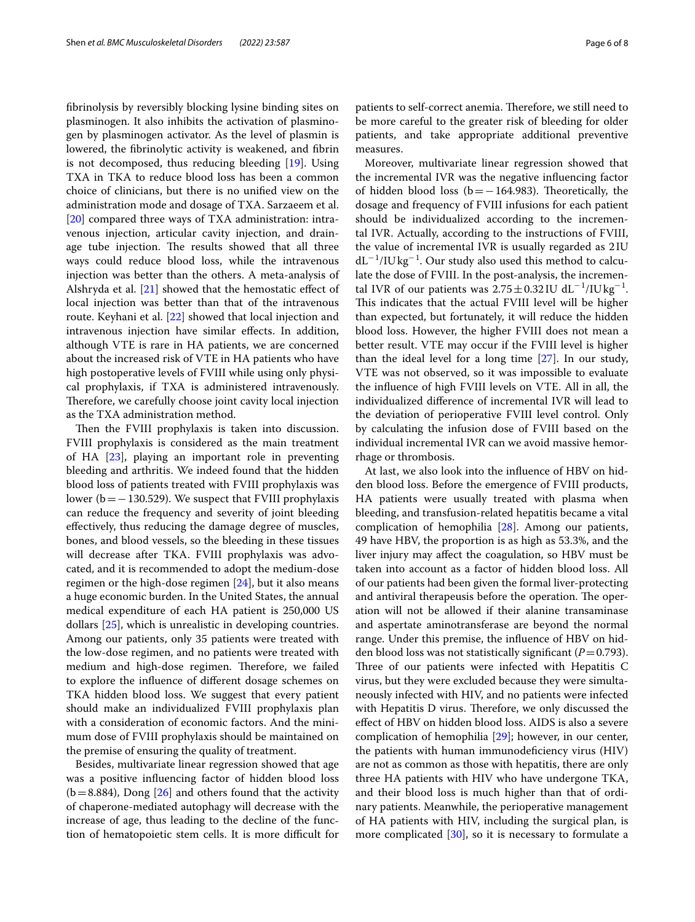fbrinolysis by reversibly blocking lysine binding sites on plasminogen. It also inhibits the activation of plasminogen by plasminogen activator. As the level of plasmin is lowered, the fbrinolytic activity is weakened, and fbrin is not decomposed, thus reducing bleeding [[19](#page-7-2)]. Using TXA in TKA to reduce blood loss has been a common choice of clinicians, but there is no unifed view on the administration mode and dosage of TXA. Sarzaeem et al. [[20\]](#page-7-3) compared three ways of TXA administration: intravenous injection, articular cavity injection, and drainage tube injection. The results showed that all three ways could reduce blood loss, while the intravenous injection was better than the others. A meta-analysis of Alshryda et al.  $[21]$  showed that the hemostatic effect of local injection was better than that of the intravenous route. Keyhani et al. [[22](#page-7-5)] showed that local injection and intravenous injection have similar effects. In addition, although VTE is rare in HA patients, we are concerned about the increased risk of VTE in HA patients who have high postoperative levels of FVIII while using only physical prophylaxis, if TXA is administered intravenously. Therefore, we carefully choose joint cavity local injection as the TXA administration method.

Then the FVIII prophylaxis is taken into discussion. FVIII prophylaxis is considered as the main treatment of HA [[23](#page-7-6)], playing an important role in preventing bleeding and arthritis. We indeed found that the hidden blood loss of patients treated with FVIII prophylaxis was lower ( $b=-130.529$ ). We suspect that FVIII prophylaxis can reduce the frequency and severity of joint bleeding efectively, thus reducing the damage degree of muscles, bones, and blood vessels, so the bleeding in these tissues will decrease after TKA. FVIII prophylaxis was advocated, and it is recommended to adopt the medium-dose regimen or the high-dose regimen  $[24]$  $[24]$ , but it also means a huge economic burden. In the United States, the annual medical expenditure of each HA patient is 250,000 US dollars [\[25](#page-7-8)], which is unrealistic in developing countries. Among our patients, only 35 patients were treated with the low-dose regimen, and no patients were treated with medium and high-dose regimen. Therefore, we failed to explore the infuence of diferent dosage schemes on TKA hidden blood loss. We suggest that every patient should make an individualized FVIII prophylaxis plan with a consideration of economic factors. And the minimum dose of FVIII prophylaxis should be maintained on the premise of ensuring the quality of treatment.

Besides, multivariate linear regression showed that age was a positive infuencing factor of hidden blood loss  $(b=8.884)$ , Dong  $[26]$  $[26]$  and others found that the activity of chaperone-mediated autophagy will decrease with the increase of age, thus leading to the decline of the function of hematopoietic stem cells. It is more difficult for

patients to self-correct anemia. Therefore, we still need to be more careful to the greater risk of bleeding for older patients, and take appropriate additional preventive measures.

Moreover, multivariate linear regression showed that the incremental IVR was the negative infuencing factor of hidden blood loss ( $b =$ −164.983). Theoretically, the dosage and frequency of FVIII infusions for each patient should be individualized according to the incremental IVR. Actually, according to the instructions of FVIII, the value of incremental IVR is usually regarded as 2IU dL<sup>−</sup><sup>1</sup> /IU kg<sup>−</sup><sup>1</sup> . Our study also used this method to calculate the dose of FVIII. In the post-analysis, the incremental IVR of our patients was  $2.75 \pm 0.32$  IU dL<sup>-1</sup>/IU kg<sup>-1</sup>. This indicates that the actual FVIII level will be higher than expected, but fortunately, it will reduce the hidden blood loss. However, the higher FVIII does not mean a better result. VTE may occur if the FVIII level is higher than the ideal level for a long time [[27\]](#page-7-10). In our study, VTE was not observed, so it was impossible to evaluate the infuence of high FVIII levels on VTE. All in all, the individualized diference of incremental IVR will lead to the deviation of perioperative FVIII level control. Only by calculating the infusion dose of FVIII based on the individual incremental IVR can we avoid massive hemorrhage or thrombosis.

At last, we also look into the infuence of HBV on hidden blood loss. Before the emergence of FVIII products, HA patients were usually treated with plasma when bleeding, and transfusion-related hepatitis became a vital complication of hemophilia [[28](#page-7-11)]. Among our patients, 49 have HBV, the proportion is as high as 53.3%, and the liver injury may afect the coagulation, so HBV must be taken into account as a factor of hidden blood loss. All of our patients had been given the formal liver-protecting and antiviral therapeusis before the operation. The operation will not be allowed if their alanine transaminase and aspertate aminotransferase are beyond the normal range. Under this premise, the infuence of HBV on hidden blood loss was not statistically significant ( $P=0.793$ ). Three of our patients were infected with Hepatitis C virus, but they were excluded because they were simultaneously infected with HIV, and no patients were infected with Hepatitis D virus. Therefore, we only discussed the efect of HBV on hidden blood loss. AIDS is also a severe complication of hemophilia [\[29\]](#page-7-12); however, in our center, the patients with human immunodefciency virus (HIV) are not as common as those with hepatitis, there are only three HA patients with HIV who have undergone TKA, and their blood loss is much higher than that of ordinary patients. Meanwhile, the perioperative management of HA patients with HIV, including the surgical plan, is more complicated  $[30]$  $[30]$ , so it is necessary to formulate a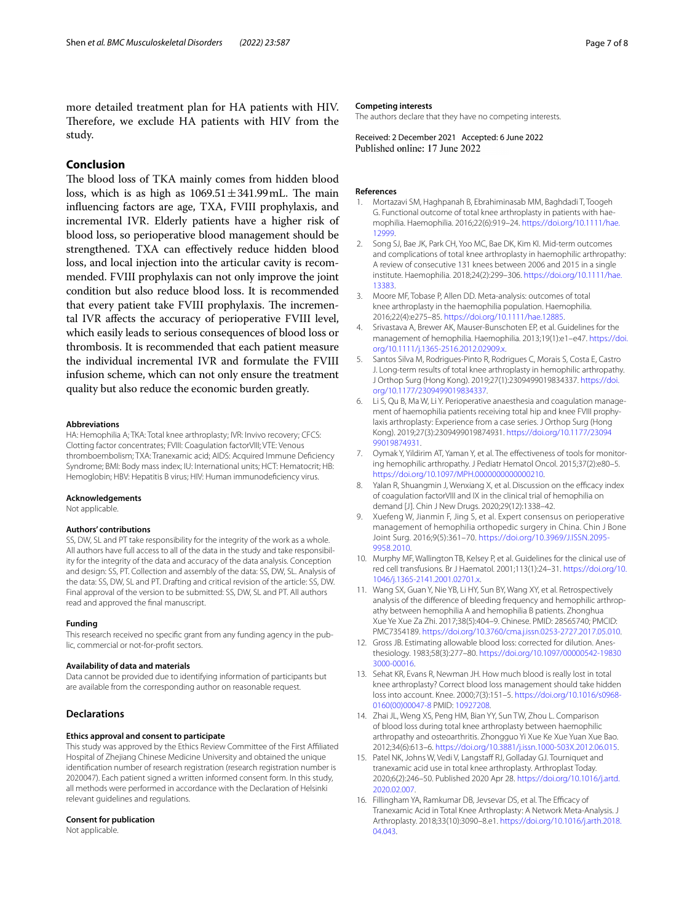more detailed treatment plan for HA patients with HIV. Therefore, we exclude HA patients with HIV from the study.

# **Conclusion**

The blood loss of TKA mainly comes from hidden blood loss, which is as high as  $1069.51 \pm 341.99$  mL. The main infuencing factors are age, TXA, FVIII prophylaxis, and incremental IVR. Elderly patients have a higher risk of blood loss, so perioperative blood management should be strengthened. TXA can efectively reduce hidden blood loss, and local injection into the articular cavity is recommended. FVIII prophylaxis can not only improve the joint condition but also reduce blood loss. It is recommended that every patient take FVIII prophylaxis. The incremental IVR afects the accuracy of perioperative FVIII level, which easily leads to serious consequences of blood loss or thrombosis. It is recommended that each patient measure the individual incremental IVR and formulate the FVIII infusion scheme, which can not only ensure the treatment quality but also reduce the economic burden greatly.

# **Abbreviations**

HA: Hemophilia A; TKA: Total knee arthroplasty; IVR: Invivo recovery; CFCS: Clotting factor concentrates; FVIII: Coagulation factorVIII; VTE: Venous thromboembolism; TXA: Tranexamic acid; AIDS: Acquired Immune Defciency Syndrome; BMI: Body mass index; IU: International units; HCT: Hematocrit; HB: Hemoglobin; HBV: Hepatitis B virus; HIV: Human immunodefciency virus.

#### **Acknowledgements**

Not applicable.

#### **Authors' contributions**

SS, DW, SL and PT take responsibility for the integrity of the work as a whole. All authors have full access to all of the data in the study and take responsibility for the integrity of the data and accuracy of the data analysis. Conception and design: SS, PT. Collection and assembly of the data: SS, DW, SL. Analysis of the data: SS, DW, SL and PT. Drafting and critical revision of the article: SS, DW. Final approval of the version to be submitted: SS, DW, SL and PT. All authors read and approved the fnal manuscript.

#### **Funding**

This research received no specifc grant from any funding agency in the public, commercial or not-for-proft sectors.

#### **Availability of data and materials**

Data cannot be provided due to identifying information of participants but are available from the corresponding author on reasonable request.

# **Declarations**

# **Ethics approval and consent to participate**

This study was approved by the Ethics Review Committee of the First Affiliated Hospital of Zhejiang Chinese Medicine University and obtained the unique identifcation number of research registration (research registration number is 2020047). Each patient signed a written informed consent form. In this study, all methods were performed in accordance with the Declaration of Helsinki relevant guidelines and regulations.

#### **Consent for publication**

Not applicable.

#### **Competing interests**

The authors declare that they have no competing interests.

Received: 2 December 2021 Accepted: 6 June 2022

#### **References**

- <span id="page-6-0"></span>1. Mortazavi SM, Haghpanah B, Ebrahiminasab MM, Baghdadi T, Toogeh G. Functional outcome of total knee arthroplasty in patients with haemophilia. Haemophilia. 2016;22(6):919–24. [https://doi.org/10.1111/hae.](https://doi.org/10.1111/hae.12999) [12999](https://doi.org/10.1111/hae.12999).
- 2. Song SJ, Bae JK, Park CH, Yoo MC, Bae DK, Kim KI. Mid-term outcomes and complications of total knee arthroplasty in haemophilic arthropathy: A review of consecutive 131 knees between 2006 and 2015 in a single institute. Haemophilia. 2018;24(2):299–306. [https://doi.org/10.1111/hae.](https://doi.org/10.1111/hae.13383) [13383](https://doi.org/10.1111/hae.13383).
- <span id="page-6-1"></span>3. Moore MF, Tobase P, Allen DD. Meta-analysis: outcomes of total knee arthroplasty in the haemophilia population. Haemophilia. 2016;22(4):e275–85. <https://doi.org/10.1111/hae.12885>.
- <span id="page-6-2"></span>4. Srivastava A, Brewer AK, Mauser-Bunschoten EP, et al. Guidelines for the management of hemophilia. Haemophilia. 2013;19(1):e1–e47. [https://doi.](https://doi.org/10.1111/j.1365-2516.2012.02909.x) [org/10.1111/j.1365-2516.2012.02909.x.](https://doi.org/10.1111/j.1365-2516.2012.02909.x)
- <span id="page-6-3"></span>5. Santos Silva M, Rodrigues-Pinto R, Rodrigues C, Morais S, Costa E, Castro J. Long-term results of total knee arthroplasty in hemophilic arthropathy. J Orthop Surg (Hong Kong). 2019;27(1):2309499019834337. [https://doi.](https://doi.org/10.1177/2309499019834337) [org/10.1177/2309499019834337](https://doi.org/10.1177/2309499019834337).
- <span id="page-6-4"></span>6. Li S, Qu B, Ma W, Li Y. Perioperative anaesthesia and coagulation management of haemophilia patients receiving total hip and knee FVIII prophylaxis arthroplasty: Experience from a case series. J Orthop Surg (Hong Kong). 2019;27(3):2309499019874931. [https://doi.org/10.1177/23094](https://doi.org/10.1177/2309499019874931) [99019874931.](https://doi.org/10.1177/2309499019874931)
- <span id="page-6-5"></span>7. Oymak Y, Yildirim AT, Yaman Y, et al. The efectiveness of tools for monitoring hemophilic arthropathy. J Pediatr Hematol Oncol. 2015;37(2):e80–5. [https://doi.org/10.1097/MPH.0000000000000210.](https://doi.org/10.1097/MPH.0000000000000210)
- <span id="page-6-6"></span>Yalan R, Shuangmin J, Wenxiang X, et al. Discussion on the efficacy index of coagulation factorVIII and IX in the clinical trial of hemophilia on demand [J]. Chin J New Drugs. 2020;29(12):1338–42.
- <span id="page-6-7"></span>9. Xuefeng W, Jianmin F, Jing S, et al. Expert consensus on perioperative management of hemophilia orthopedic surgery in China. Chin J Bone Joint Surg. 2016;9(5):361–70. [https://doi.org/10.3969/J.ISSN.2095-](https://doi.org/10.3969/J.ISSN.2095-9958.2010) [9958.2010.](https://doi.org/10.3969/J.ISSN.2095-9958.2010)
- <span id="page-6-8"></span>10. Murphy MF, Wallington TB, Kelsey P, et al. Guidelines for the clinical use of red cell transfusions. Br J Haematol. 2001;113(1):24–31. [https://doi.org/10.](https://doi.org/10.1046/j.1365-2141.2001.02701.x) [1046/j.1365-2141.2001.02701.x](https://doi.org/10.1046/j.1365-2141.2001.02701.x).
- <span id="page-6-9"></span>11. Wang SX, Guan Y, Nie YB, Li HY, Sun BY, Wang XY, et al. Retrospectively analysis of the diference of bleeding frequency and hemophilic arthropathy between hemophilia A and hemophilia B patients. Zhonghua Xue Ye Xue Za Zhi. 2017;38(5):404–9. Chinese. PMID: 28565740; PMCID: PMC7354189. [https://doi.org/10.3760/cma.j.issn.0253-2727.2017.05.010.](https://doi.org/10.3760/cma.j.issn.0253-2727.2017.05.010)
- <span id="page-6-10"></span>12. Gross JB. Estimating allowable blood loss: corrected for dilution. Anesthesiology. 1983;58(3):277–80. [https://doi.org/10.1097/00000542-19830](https://doi.org/10.1097/00000542-198303000-00016) [3000-00016.](https://doi.org/10.1097/00000542-198303000-00016)
- <span id="page-6-11"></span>13. Sehat KR, Evans R, Newman JH. How much blood is really lost in total knee arthroplasty? Correct blood loss management should take hidden loss into account. Knee. 2000;7(3):151–5. [https://doi.org/10.1016/s0968-](https://doi.org/10.1016/s0968-0160(00)00047-8) [0160\(00\)00047-8](https://doi.org/10.1016/s0968-0160(00)00047-8) PMID: [10927208.](https://www.ncbi.nlm.nih.gov/pubmed/10927208)
- <span id="page-6-12"></span>14. Zhai JL, Weng XS, Peng HM, Bian YY, Sun TW, Zhou L. Comparison of blood loss during total knee arthroplasty between haemophilic arthropathy and osteoarthritis. Zhongguo Yi Xue Ke Xue Yuan Xue Bao. 2012;34(6):613–6.<https://doi.org/10.3881/j.issn.1000-503X.2012.06.015>.
- <span id="page-6-13"></span>15. Patel NK, Johns W, Vedi V, Langstaff RJ, Golladay GJ. Tourniquet and tranexamic acid use in total knee arthroplasty. Arthroplast Today. 2020;6(2):246–50. Published 2020 Apr 28. [https://doi.org/10.1016/j.artd.](https://doi.org/10.1016/j.artd.2020.02.007) [2020.02.007](https://doi.org/10.1016/j.artd.2020.02.007).
- 16. Fillingham YA, Ramkumar DB, Jevsevar DS, et al. The Efficacy of Tranexamic Acid in Total Knee Arthroplasty: A Network Meta-Analysis. J Arthroplasty. 2018;33(10):3090–8.e1. [https://doi.org/10.1016/j.arth.2018.](https://doi.org/10.1016/j.arth.2018.04.043) [04.043](https://doi.org/10.1016/j.arth.2018.04.043).